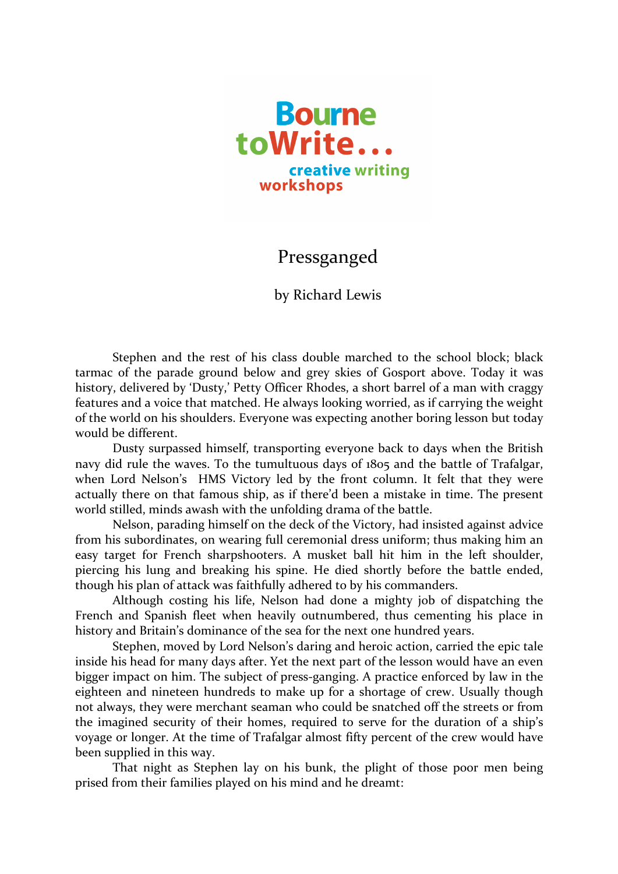

## Pressganged

by Richard Lewis

Stephen and the rest of his class double marched to the school block; black tarmac of the parade ground below and grey skies of Gosport above. Today it was history, delivered by 'Dusty,' Petty Officer Rhodes, a short barrel of a man with craggy features and a voice that matched. He always looking worried, as if carrying the weight of the world on his shoulders. Everyone was expecting another boring lesson but today would be different.

Dusty surpassed himself, transporting everyone back to days when the British navy did rule the waves. To the tumultuous days of 1805 and the battle of Trafalgar, when Lord Nelson's HMS Victory led by the front column. It felt that they were actually there on that famous ship, as if there'd been a mistake in time. The present world stilled, minds awash with the unfolding drama of the battle.

Nelson, parading himself on the deck of the Victory, had insisted against advice from his subordinates, on wearing full ceremonial dress uniform; thus making him an easy target for French sharpshooters. A musket ball hit him in the left shoulder, piercing his lung and breaking his spine. He died shortly before the battle ended, though his plan of attack was faithfully adhered to by his commanders.

Although costing his life, Nelson had done a mighty job of dispatching the French and Spanish fleet when heavily outnumbered, thus cementing his place in history and Britain's dominance of the sea for the next one hundred years.

Stephen, moved by Lord Nelson's daring and heroic action, carried the epic tale inside his head for many days after. Yet the next part of the lesson would have an even bigger impact on him. The subject of press-ganging. A practice enforced by law in the eighteen and nineteen hundreds to make up for a shortage of crew. Usually though not always, they were merchant seaman who could be snatched off the streets or from the imagined security of their homes, required to serve for the duration of a ship's voyage or longer. At the time of Trafalgar almost fifty percent of the crew would have been supplied in this way.

That night as Stephen lay on his bunk, the plight of those poor men being prised from their families played on his mind and he dreamt: